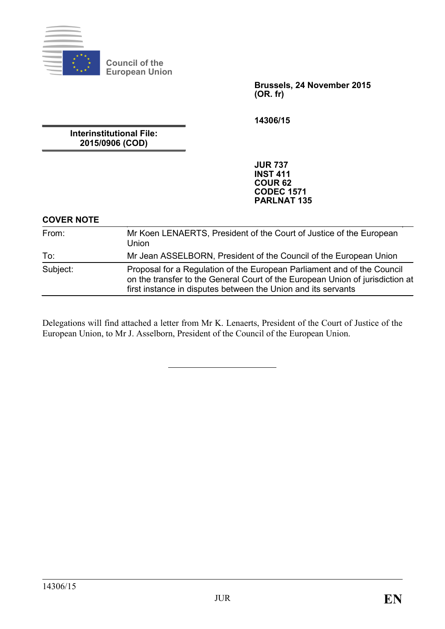

**Council of the European Union**

> **Brussels, 24 November 2015 (OR. fr)**

**14306/15**

**Interinstitutional File: 2015/0906 (COD)**

> **JUR 737 INST 411 COUR 62 CODEC 1571 PARLNAT 135**

# **COVER NOTE**

| From:    | Mr Koen LENAERTS, President of the Court of Justice of the European<br>Union                                                                                                                                              |
|----------|---------------------------------------------------------------------------------------------------------------------------------------------------------------------------------------------------------------------------|
| To:      | Mr Jean ASSELBORN, President of the Council of the European Union                                                                                                                                                         |
| Subject: | Proposal for a Regulation of the European Parliament and of the Council<br>on the transfer to the General Court of the European Union of jurisdiction at<br>first instance in disputes between the Union and its servants |

Delegations will find attached a letter from Mr K. Lenaerts, President of the Court of Justice of the European Union, to Mr J. Asselborn, President of the Council of the European Union.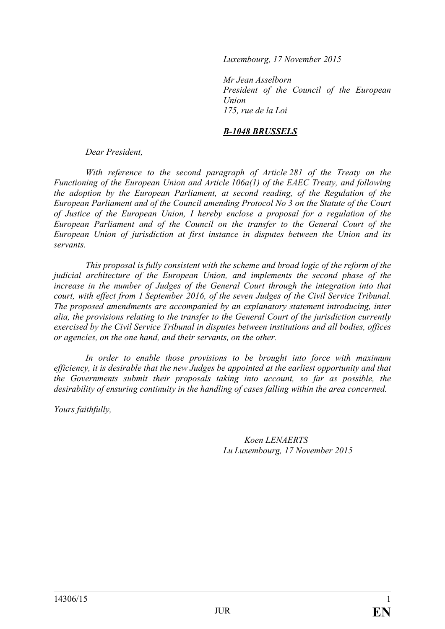*Luxembourg, 17 November 2015*

*Mr Jean Asselborn President of the Council of the European Union 175, rue de la Loi*

#### *B-1048 BRUSSELS*

*Dear President,*

*With reference to the second paragraph of Article 281 of the Treaty on the Functioning of the European Union and Article 106a(1) of the EAEC Treaty, and following the adoption by the European Parliament, at second reading, of the Regulation of the European Parliament and of the Council amending Protocol No 3 on the Statute of the Court of Justice of the European Union, I hereby enclose a proposal for a regulation of the European Parliament and of the Council on the transfer to the General Court of the European Union of jurisdiction at first instance in disputes between the Union and its servants.*

*This proposal is fully consistent with the scheme and broad logic of the reform of the judicial architecture of the European Union, and implements the second phase of the increase in the number of Judges of the General Court through the integration into that court, with effect from 1 September 2016, of the seven Judges of the Civil Service Tribunal. The proposed amendments are accompanied by an explanatory statement introducing, inter alia, the provisions relating to the transfer to the General Court of the jurisdiction currently exercised by the Civil Service Tribunal in disputes between institutions and all bodies, offices or agencies, on the one hand, and their servants, on the other.* 

*In order to enable those provisions to be brought into force with maximum efficiency, it is desirable that the new Judges be appointed at the earliest opportunity and that the Governments submit their proposals taking into account, so far as possible, the desirability of ensuring continuity in the handling of cases falling within the area concerned.*

*Yours faithfully,* 

*Koen LENAERTS Lu Luxembourg, 17 November 2015*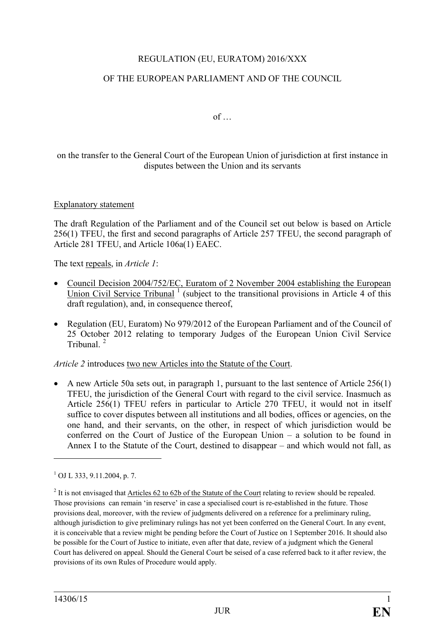# REGULATION (EU, EURATOM) 2016/XXX

## OF THE EUROPEAN PARLIAMENT AND OF THE COUNCIL

 $of$   $\dots$ 

on the transfer to the General Court of the European Union of jurisdiction at first instance in disputes between the Union and its servants

#### Explanatory statement

The draft Regulation of the Parliament and of the Council set out below is based on Article 256(1) TFEU, the first and second paragraphs of Article 257 TFEU, the second paragraph of Article 281 TFEU, and Article 106a(1) EAEC.

The text repeals, in *Article 1*:

- Council Decision 2004/752/EC, Euratom of 2 November 2004 establishing the European Union Civil Service Tribunal<sup>[1](#page-2-0)</sup> (subject to the transitional provisions in Article 4 of this draft regulation), and, in consequence thereof.
- Regulation (EU, Euratom) No 979/2012 of the European Parliament and of the Council of 25 October 2012 relating to temporary Judges of the European Union Civil Service Tribunal. [2](#page-2-1)

*Article 2* introduces two new Articles into the Statute of the Court.

• A new Article 50a sets out, in paragraph 1, pursuant to the last sentence of Article 256(1) TFEU, the jurisdiction of the General Court with regard to the civil service. Inasmuch as Article 256(1) TFEU refers in particular to Article 270 TFEU, it would not in itself suffice to cover disputes between all institutions and all bodies, offices or agencies, on the one hand, and their servants, on the other, in respect of which jurisdiction would be conferred on the Court of Justice of the European Union – a solution to be found in Annex I to the Statute of the Court, destined to disappear – and which would not fall, as

**.** 

<span id="page-2-0"></span> $1$  OJ L 333, 9.11.2004, p. 7.

<span id="page-2-1"></span> $2$  It is not envisaged that Articles 62 to 62b of the Statute of the Court relating to review should be repealed. Those provisions can remain 'in reserve' in case a specialised court is re-established in the future. Those provisions deal, moreover, with the review of judgments delivered on a reference for a preliminary ruling, although jurisdiction to give preliminary rulings has not yet been conferred on the General Court. In any event, it is conceivable that a review might be pending before the Court of Justice on 1 September 2016. It should also be possible for the Court of Justice to initiate, even after that date, review of a judgment which the General Court has delivered on appeal. Should the General Court be seised of a case referred back to it after review, the provisions of its own Rules of Procedure would apply.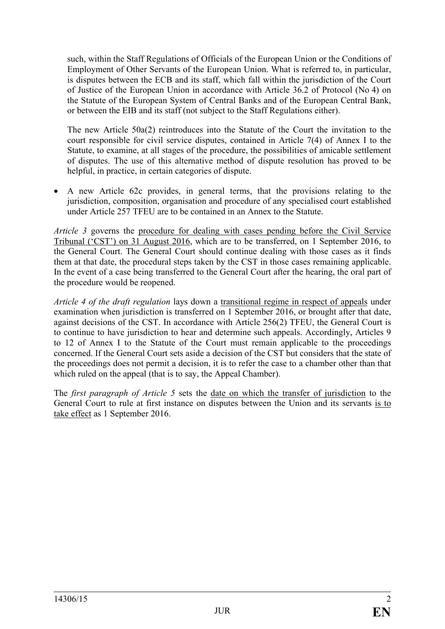such, within the Staff Regulations of Officials of the European Union or the Conditions of Employment of Other Servants of the European Union. What is referred to, in particular, is disputes between the ECB and its staff, which fall within the jurisdiction of the Court of Justice of the European Union in accordance with Article 36.2 of Protocol (No 4) on the Statute of the European System of Central Banks and of the European Central Bank, or between the EIB and its staff (not subject to the Staff Regulations either).

The new Article 50a(2) reintroduces into the Statute of the Court the invitation to the court responsible for civil service disputes, contained in Article 7(4) of Annex I to the Statute, to examine, at all stages of the procedure, the possibilities of amicable settlement of disputes. The use of this alternative method of dispute resolution has proved to be helpful, in practice, in certain categories of dispute.

• A new Article 62c provides, in general terms, that the provisions relating to the jurisdiction, composition, organisation and procedure of any specialised court established under Article 257 TFEU are to be contained in an Annex to the Statute.

*Article 3* governs the procedure for dealing with cases pending before the Civil Service Tribunal ('CST') on 31 August 2016, which are to be transferred, on 1 September 2016, to the General Court. The General Court should continue dealing with those cases as it finds them at that date, the procedural steps taken by the CST in those cases remaining applicable. In the event of a case being transferred to the General Court after the hearing, the oral part of the procedure would be reopened.

*Article 4 of the draft regulation* lays down a transitional regime in respect of appeals under examination when jurisdiction is transferred on 1 September 2016, or brought after that date, against decisions of the CST. In accordance with Article 256(2) TFEU, the General Court is to continue to have jurisdiction to hear and determine such appeals. Accordingly, Articles 9 to 12 of Annex I to the Statute of the Court must remain applicable to the proceedings concerned. If the General Court sets aside a decision of the CST but considers that the state of the proceedings does not permit a decision, it is to refer the case to a chamber other than that which ruled on the appeal (that is to say, the Appeal Chamber).

The *first paragraph of Article 5* sets the date on which the transfer of jurisdiction to the General Court to rule at first instance on disputes between the Union and its servants is to take effect as 1 September 2016.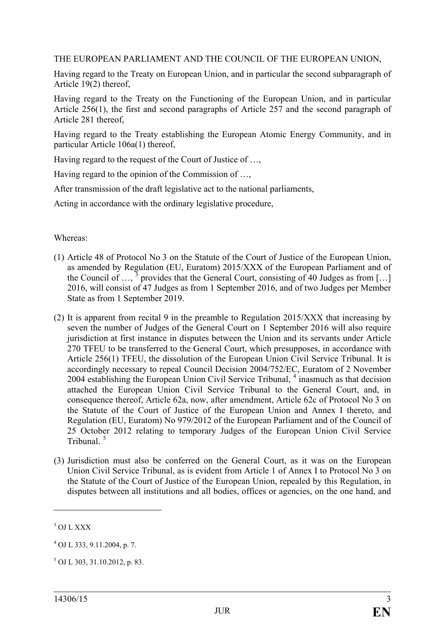THE EUROPEAN PARLIAMENT AND THE COUNCIL OF THE EUROPEAN UNION,

Having regard to the Treaty on European Union, and in particular the second subparagraph of Article 19(2) thereof,

Having regard to the Treaty on the Functioning of the European Union, and in particular Article 256(1), the first and second paragraphs of Article 257 and the second paragraph of Article 281 thereof,

Having regard to the Treaty establishing the European Atomic Energy Community, and in particular Article 106a(1) thereof,

Having regard to the request of the Court of Justice of …,

Having regard to the opinion of the Commission of …,

After transmission of the draft legislative act to the national parliaments,

Acting in accordance with the ordinary legislative procedure,

Whereas:

- (1) Article 48 of Protocol No 3 on the Statute of the Court of Justice of the European Union, as amended by Regulation (EU, Euratom) 2015/XXX of the European Parliament and of the Council of  $\ldots$ , <sup>[3](#page-4-0)</sup> provides that the General Court, consisting of 40 Judges as from [...] 2016, will consist of 47 Judges as from 1 September 2016, and of two Judges per Member State as from 1 September 2019.
- (2) It is apparent from recital 9 in the preamble to Regulation 2015/XXX that increasing by seven the number of Judges of the General Court on 1 September 2016 will also require jurisdiction at first instance in disputes between the Union and its servants under Article 270 TFEU to be transferred to the General Court, which presupposes, in accordance with Article 256(1) TFEU, the dissolution of the European Union Civil Service Tribunal. It is accordingly necessary to repeal Council Decision 2004/752/EC, Euratom of 2 November 200[4](#page-4-1) establishing the European Union Civil Service Tribunal, <sup>4</sup> inasmuch as that decision attached the European Union Civil Service Tribunal to the General Court, and, in consequence thereof, Article 62a, now, after amendment, Article 62c of Protocol No 3 on the Statute of the Court of Justice of the European Union and Annex I thereto, and Regulation (EU, Euratom) No 979/2012 of the European Parliament and of the Council of 25 October 2012 relating to temporary Judges of the European Union Civil Service Tribunal<sup>[5](#page-4-2)</sup>
- (3) Jurisdiction must also be conferred on the General Court, as it was on the European Union Civil Service Tribunal, as is evident from Article 1 of Annex I to Protocol No 3 on the Statute of the Court of Justice of the European Union, repealed by this Regulation, in disputes between all institutions and all bodies, offices or agencies, on the one hand, and

**.** 

<span id="page-4-0"></span><sup>&</sup>lt;sup>3</sup> OJ L XXX

<span id="page-4-1"></span><sup>4</sup> OJ L 333, 9.11.2004, p. 7.

<span id="page-4-2"></span> $5$  OJ L 303, 31.10.2012, p. 83.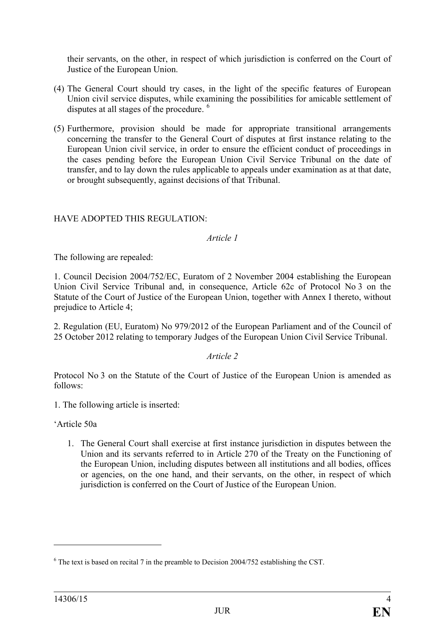their servants, on the other, in respect of which jurisdiction is conferred on the Court of Justice of the European Union.

- (4) The General Court should try cases, in the light of the specific features of European Union civil service disputes, while examining the possibilities for amicable settlement of disputes at all stages of the procedure.<sup>[6](#page-5-0)</sup>
- (5) Furthermore, provision should be made for appropriate transitional arrangements concerning the transfer to the General Court of disputes at first instance relating to the European Union civil service, in order to ensure the efficient conduct of proceedings in the cases pending before the European Union Civil Service Tribunal on the date of transfer, and to lay down the rules applicable to appeals under examination as at that date, or brought subsequently, against decisions of that Tribunal.

## HAVE ADOPTED THIS REGULATION:

*Article 1*

The following are repealed:

1. Council Decision 2004/752/EC, Euratom of 2 November 2004 establishing the European Union Civil Service Tribunal and, in consequence, Article 62c of Protocol No 3 on the Statute of the Court of Justice of the European Union, together with Annex I thereto, without prejudice to Article 4:

2. Regulation (EU, Euratom) No 979/2012 of the European Parliament and of the Council of 25 October 2012 relating to temporary Judges of the European Union Civil Service Tribunal.

*Article 2*

Protocol No 3 on the Statute of the Court of Justice of the European Union is amended as follows:

1. The following article is inserted:

'Article 50a

1. The General Court shall exercise at first instance jurisdiction in disputes between the Union and its servants referred to in Article 270 of the Treaty on the Functioning of the European Union, including disputes between all institutions and all bodies, offices or agencies, on the one hand, and their servants, on the other, in respect of which jurisdiction is conferred on the Court of Justice of the European Union.

 $\overline{a}$ 

<span id="page-5-0"></span> $6$  The text is based on recital 7 in the preamble to Decision 2004/752 establishing the CST.